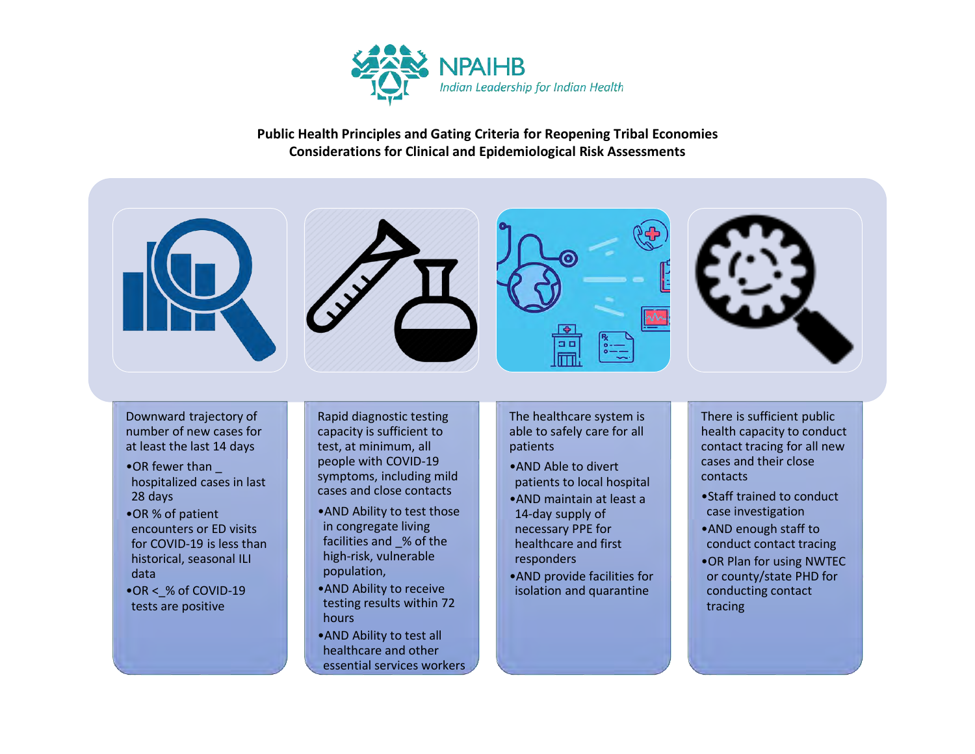

**Public Health Principles and Gating Criteria for Reopening Tribal Economies Considerations for Clinical and Epidemiological Risk Assessments**



number of new cases for at least the last 14 days

- •OR fewer than \_ hospitalized cases in last 28 days
- •OR % of patient encounters or ED visits for COVID-19 is less than historical, seasonal ILI data
- •OR < % of COVID-19 tests are positive

capacity is sufficient to test, at minimum, all people with COVID-19 symptoms, including mild cases and close contacts

- •AND Ability to test those in congregate living facilities and \_% of the high-risk, vulnerable population,
- •AND Ability to receive testing results within 72 hours
- •AND Ability to test all healthcare and other essential services workers

able to safely care for all patients

- •AND Able to divert patients to local hospital
- •AND maintain at least a 14-day supply of necessary PPE for healthcare and first responders
- •AND provide facilities for isolation and quarantine

health capacity to conduct contact tracing for all new cases and their close contacts

- •Staff trained to conduct case investigation
- •AND enough staff to conduct contact tracing
- •OR Plan for using NWTEC or county/state PHD for conducting contact tracing